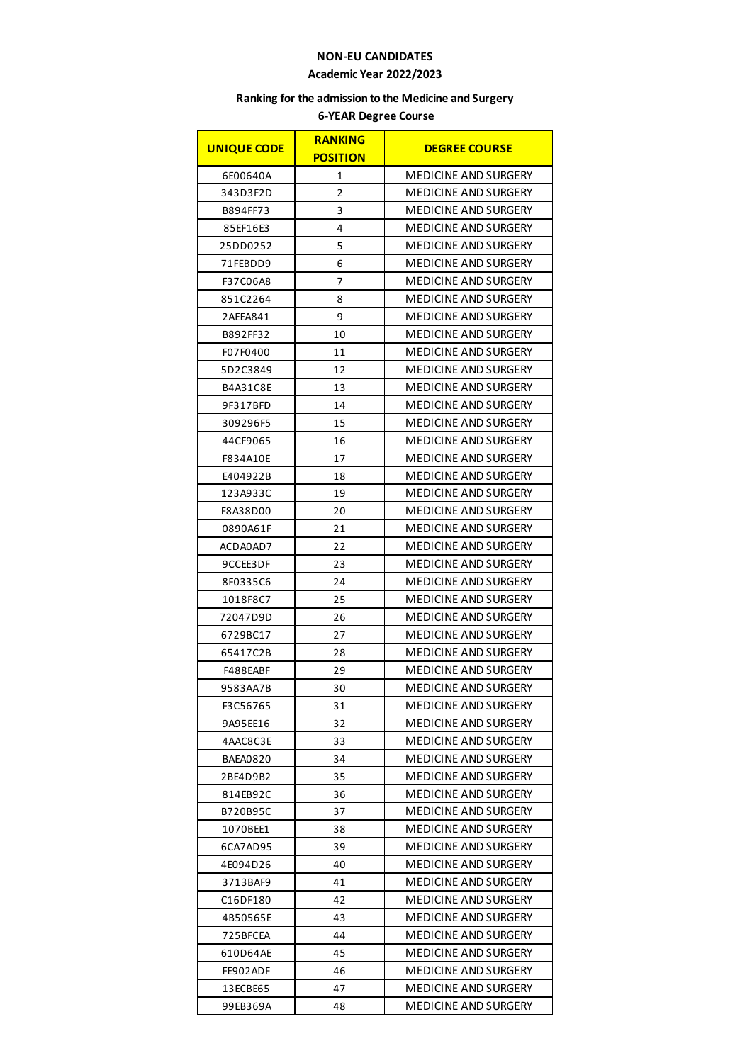## **NON-EU CANDIDATES**

## **Academic Year 2022/2023**

## **Ranking for the admission to the Medicine and Surgery**

## **6-YEAR Degree Course**

| <b>UNIQUE CODE</b> | <b>RANKING</b><br><b>POSITION</b> | <b>DEGREE COURSE</b>        |
|--------------------|-----------------------------------|-----------------------------|
| 6E00640A           | 1                                 | <b>MEDICINE AND SURGERY</b> |
| 343D3F2D           | 2                                 | <b>MEDICINE AND SURGERY</b> |
| B894FF73           | 3                                 | <b>MEDICINE AND SURGERY</b> |
| 85EF16E3           | 4                                 | <b>MEDICINE AND SURGERY</b> |
| 25DD0252           | 5                                 | MEDICINE AND SURGERY        |
| 71FEBDD9           | 6                                 | MEDICINE AND SURGERY        |
| F37C06A8           | 7                                 | <b>MEDICINE AND SURGERY</b> |
| 851C2264           | 8                                 | MEDICINE AND SURGERY        |
| 2AEEA841           | 9                                 | MEDICINE AND SURGERY        |
| B892FF32           | 10                                | <b>MEDICINE AND SURGERY</b> |
| F07F0400           | 11                                | MEDICINE AND SURGERY        |
| 5D2C3849           | 12                                | MEDICINE AND SURGERY        |
| B4A31C8E           | 13                                | <b>MEDICINE AND SURGERY</b> |
| 9F317BFD           | 14                                | <b>MEDICINE AND SURGERY</b> |
| 309296F5           | 15                                | MEDICINE AND SURGERY        |
| 44CF9065           | 16                                | <b>MEDICINE AND SURGERY</b> |
| F834A10E           | 17                                | MEDICINE AND SURGERY        |
| E404922B           | 18                                | MEDICINE AND SURGERY        |
| 123A933C           | 19                                | <b>MEDICINE AND SURGERY</b> |
| F8A38D00           | 20                                | MEDICINE AND SURGERY        |
| 0890A61F           | 21                                | MEDICINE AND SURGERY        |
| ACDA0AD7           | 22                                | MEDICINE AND SURGERY        |
| 9CCEE3DF           | 23                                | MEDICINE AND SURGERY        |
| 8F0335C6           | 24                                | MEDICINE AND SURGERY        |
| 1018F8C7           | 25                                | MEDICINE AND SURGERY        |
| 72047D9D           | 26                                | <b>MEDICINE AND SURGERY</b> |
| 6729BC17           | 27                                | MEDICINE AND SURGERY        |
| 65417C2B           | 28                                | MEDICINE AND SURGERY        |
| F488EABF           | 29                                | <b>MEDICINE AND SURGERY</b> |
| 9583AA7B           | 30                                | <b>MEDICINE AND SURGERY</b> |
| F3C56765           | 31                                | MEDICINE AND SURGERY        |
| 9A95EE16           | 32                                | <b>MEDICINE AND SURGERY</b> |
| 4AAC8C3E           | 33                                | MEDICINE AND SURGERY        |
| BAEA0820           | 34                                | MEDICINE AND SURGERY        |
| 2BE4D9B2           | 35                                | <b>MEDICINE AND SURGERY</b> |
| 814EB92C           | 36                                | MEDICINE AND SURGERY        |
| B720B95C           | 37                                | <b>MEDICINE AND SURGERY</b> |
| 1070BEE1           | 38                                | <b>MEDICINE AND SURGERY</b> |
| 6CA7AD95           | 39                                | MEDICINE AND SURGERY        |
| 4E094D26           | 40                                | MEDICINE AND SURGERY        |
| 3713BAF9           | 41                                | <b>MEDICINE AND SURGERY</b> |
| C16DF180           | 42                                | MEDICINE AND SURGERY        |
| 4B50565E           | 43                                | MEDICINE AND SURGERY        |
| 725BFCEA           | 44                                | <b>MEDICINE AND SURGERY</b> |
| 610D64AE           | 45                                | MEDICINE AND SURGERY        |
| FE902ADF           | 46                                | MEDICINE AND SURGERY        |
| 13ECBE65           | 47                                | <b>MEDICINE AND SURGERY</b> |
| 99EB369A           | 48                                | MEDICINE AND SURGERY        |